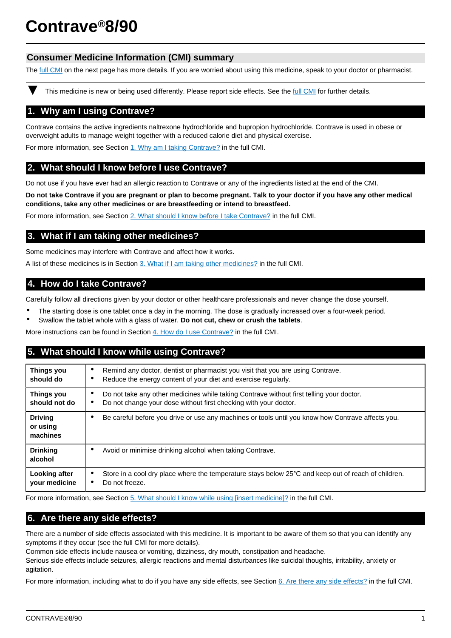# **Contrave®8/90**

# **Consumer Medicine Information (CMI) summary**

The [full CMI](#page-1-0) on the next page has more details. If you are worried about using this medicine, speak to your doctor or pharmacist.

This medicine is new or being used differently. Please report side effects. See the [full CMI](#page-1-0) for further details.

# **1. Why am I using Contrave?**

Contrave contains the active ingredients naltrexone hydrochloride and bupropion hydrochloride. Contrave is used in obese or overweight adults to manage weight together with a reduced calorie diet and physical exercise.

For more information, see Section [1. Why am I taking Contrave?](#page-1-1) in the full CMI.

# **2. What should I know before I use Contrave?**

Do not use if you have ever had an allergic reaction to Contrave or any of the ingredients listed at the end of the CMI.

**Do not take Contrave if you are pregnant or plan to become pregnant. Talk to your doctor if you have any other medical conditions, take any other medicines or are breastfeeding or intend to breastfeed.**

For more information, see Section [2. What should I know before I take Contrave?](#page-1-2) in the full CMI.

# **3. What if I am taking other medicines?**

Some medicines may interfere with Contrave and affect how it works.

A list of these medicines is in Section [3. What if I am taking other medicines?](#page-2-0) in the full CMI.

# **4. How do I take Contrave?**

Carefully follow all directions given by your doctor or other healthcare professionals and never change the dose yourself.

- The starting dose is one tablet once a day in the morning. The dose is gradually increased over a four-week period.
- Swallow the tablet whole with a glass of water. **Do not cut, chew or crush the tablets**.

More instructions can be found in Section [4. How do I use Contrave?](#page-2-1) in the full CMI.

# **5. What should I know while using Contrave?**

| <b>Things you</b><br>should do         | Remind any doctor, dentist or pharmacist you visit that you are using Contrave.<br>$\bullet$<br>Reduce the energy content of your diet and exercise regularly.<br>٠ |  |
|----------------------------------------|---------------------------------------------------------------------------------------------------------------------------------------------------------------------|--|
| Things you<br>should not do            | Do not take any other medicines while taking Contrave without first telling your doctor.<br>Do not change your dose without first checking with your doctor.        |  |
| <b>Driving</b><br>or using<br>machines | Be careful before you drive or use any machines or tools until you know how Contrave affects you.                                                                   |  |
| <b>Drinking</b><br>alcohol             | Avoid or minimise drinking alcohol when taking Contrave.<br>٠                                                                                                       |  |
| Looking after<br>your medicine         | Store in a cool dry place where the temperature stays below 25°C and keep out of reach of children.<br>Do not freeze.                                               |  |

For more information, see Section [5. What should I know while using \[insert medicine\]?](#page-2-2) in the full CMI.

# **6. Are there any side effects?**

There are a number of side effects associated with this medicine. It is important to be aware of them so that you can identify any symptoms if they occur (see the full CMI for more details).

Common side effects include nausea or vomiting, dizziness, dry mouth, constipation and headache.

Serious side effects include seizures, allergic reactions and mental disturbances like suicidal thoughts, irritability, anxiety or agitation.

For more information, including what to do if you have any side effects, see Section [6. Are there any side effects?](#page-3-0) in the full CMI.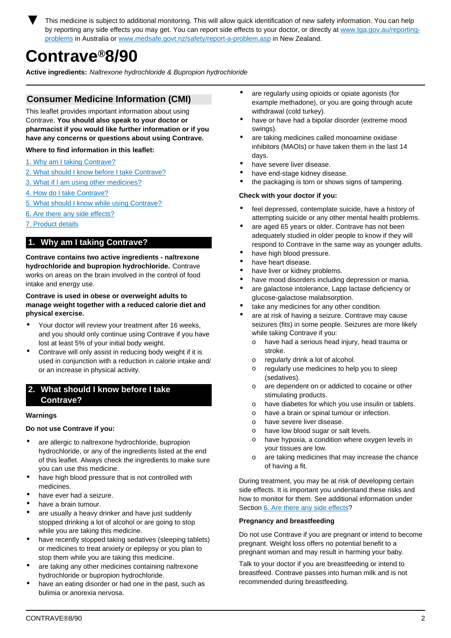<span id="page-1-0"></span>This medicine is subject to additional monitoring. This will allow quick identification of new safety information. You can help by reporting any side effects you may get. You can report side effects to your doctor, or directly at [www.tga.gov.au/reporting](http://www.tga.gov.au/reporting-problems)[problems](http://www.tga.gov.au/reporting-problems) in Australia or [www.medsafe.govt.nz/safety/report-a-problem.asp](http://www.medsafe.govt.nz/safety/report-a-problem.asp) in New Zealand.

# **Contrave®8/90**

**Active ingredients:** Naltrexone hydrochloride & Bupropion hydrochloride

# **Consumer Medicine Information (CMI)**

This leaflet provides important information about using Contrave. **You should also speak to your doctor or pharmacist if you would like further information or if you have any concerns or questions about using Contrave.**

## **Where to find information in this leaflet:**

- [1. Why am I taking Contrave?](#page-1-1)
- [2. What should I know before I take Contrave?](#page-1-2)
- [3. What if I am using other medicines?](#page-2-0)
- [4. How do I take Contrave?](#page-2-1)
- [5. What should I know while using Contrave?](#page-2-2)
- [6. Are there any side effects?](#page-3-0)
- [7. Product details](#page-4-0)

# <span id="page-1-1"></span>**1. Why am I taking Contrave?**

**Contrave contains two active ingredients - naltrexone hydrochloride and bupropion hydrochloride.** Contrave works on areas on the brain involved in the control of food intake and energy use.

## **Contrave is used in obese or overweight adults to manage weight together with a reduced calorie diet and physical exercise.**

- Your doctor will review your treatment after 16 weeks, and you should only continue using Contrave if you have lost at least 5% of your initial body weight.
- Contrave will only assist in reducing body weight if it is used in conjunction with a reduction in calorie intake and/ or an increase in physical activity.

# <span id="page-1-2"></span>**2. What should I know before I take Contrave?**

## **Warnings**

## **Do not use Contrave if you:**

- are allergic to naltrexone hydrochloride, bupropion hydrochloride, or any of the ingredients listed at the end of this leaflet. Always check the ingredients to make sure you can use this medicine.
- have high blood pressure that is not controlled with medicines.
- have ever had a seizure.
- have a brain tumour.
- are usually a heavy drinker and have just suddenly stopped drinking a lot of alcohol or are going to stop while you are taking this medicine.
- have recently stopped taking sedatives (sleeping tablets) or medicines to treat anxiety or epilepsy or you plan to stop them while you are taking this medicine.
- are taking any other medicines containing naltrexone hydrochloride or bupropion hydrochloride.
- have an eating disorder or had one in the past, such as bulimia or anorexia nervosa.
- are regularly using opioids or opiate agonists (for example methadone), or you are going through acute withdrawal (cold turkey).
- have or have had a bipolar disorder (extreme mood swings).
- are taking medicines called monoamine oxidase inhibitors (MAOIs) or have taken them in the last 14 days.
- have severe liver disease.
- have end-stage kidney disease.
- the packaging is torn or shows signs of tampering.

## **Check with your doctor if you:**

- feel depressed, contemplate suicide, have a history of attempting suicide or any other mental health problems.
- are aged 65 years or older. Contrave has not been adequately studied in older people to know if they will respond to Contrave in the same way as younger adults.
- have high blood pressure.
- have heart disease.
- have liver or kidney problems.
- have mood disorders including depression or mania.
- are galactose intolerance, Lapp lactase deficiency or glucose-galactose malabsorption.
- take any medicines for any other condition.
- are at risk of having a seizure. Contrave may cause seizures (fits) in some people. Seizures are more likely while taking Contrave if you:
	- o have had a serious head injury, head trauma or stroke.
	- o regularly drink a lot of alcohol.
	- o regularly use medicines to help you to sleep (sedatives).
	- o are dependent on or addicted to cocaine or other stimulating products.
	- o have diabetes for which you use insulin or tablets.
	- o have a brain or spinal tumour or infection.
	- o have severe liver disease.
	- o have low blood sugar or salt levels.
	- o have hypoxia, a condition where oxygen levels in your tissues are low.
	- o are taking medicines that may increase the chance of having a fit.

During treatment, you may be at risk of developing certain side effects. It is important you understand these risks and how to monitor for them. See additional information under Section [6. Are there any side effects](#page-3-0)?

## **Pregnancy and breastfeeding**

Do not use Contrave if you are pregnant or intend to become pregnant. Weight loss offers no potential benefit to a pregnant woman and may result in harming your baby.

Talk to your doctor if you are breastfeeding or intend to breastfeed. Contrave passes into human milk and is not recommended during breastfeeding.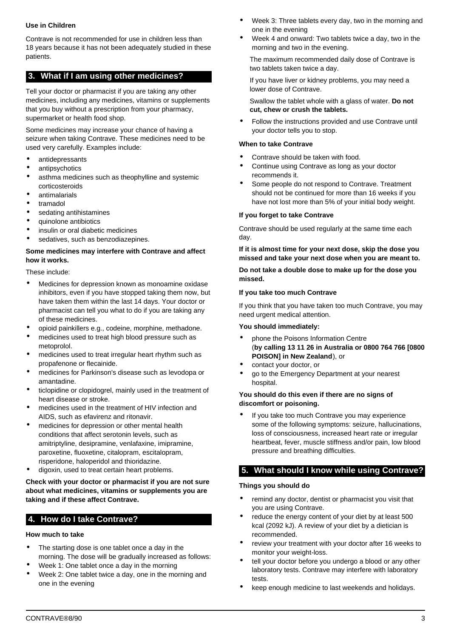## **Use in Children**

Contrave is not recommended for use in children less than 18 years because it has not been adequately studied in these patients.

# <span id="page-2-0"></span>**3. What if I am using other medicines?**

Tell your doctor or pharmacist if you are taking any other medicines, including any medicines, vitamins or supplements that you buy without a prescription from your pharmacy, supermarket or health food shop.

Some medicines may increase your chance of having a seizure when taking Contrave. These medicines need to be used very carefully. Examples include:

- antidepressants
- antipsychotics
- asthma medicines such as theophylline and systemic corticosteroids
- antimalarials
- tramadol
- sedating antihistamines
- quinolone antibiotics
- insulin or oral diabetic medicines
- sedatives, such as benzodiazepines.

## **Some medicines may interfere with Contrave and affect how it works.**

These include:

- Medicines for depression known as monoamine oxidase inhibitors, even if you have stopped taking them now, but have taken them within the last 14 days. Your doctor or pharmacist can tell you what to do if you are taking any of these medicines.
- opioid painkillers e.g., codeine, morphine, methadone.
- medicines used to treat high blood pressure such as metoprolol.
- medicines used to treat irregular heart rhythm such as propafenone or flecainide.
- medicines for Parkinson's disease such as levodopa or amantadine.
- ticlopidine or clopidogrel, mainly used in the treatment of heart disease or stroke.
- medicines used in the treatment of HIV infection and AIDS, such as efavirenz and ritonavir.
- medicines for depression or other mental health conditions that affect serotonin levels, such as amitriptyline, desipramine, venlafaxine, imipramine, paroxetine, fluoxetine, citalopram, escitalopram, risperidone, haloperidol and thioridazine.
- digoxin, used to treat certain heart problems.

**Check with your doctor or pharmacist if you are not sure about what medicines, vitamins or supplements you are taking and if these affect Contrave.**

# <span id="page-2-1"></span>**4. How do I take Contrave?**

## **How much to take**

- The starting dose is one tablet once a day in the morning. The dose will be gradually increased as follows:
- Week 1: One tablet once a day in the morning
- Week 2: One tablet twice a day, one in the morning and one in the evening
- Week 3: Three tablets every day, two in the morning and one in the evening
- Week 4 and onward: Two tablets twice a day, two in the morning and two in the evening.

The maximum recommended daily dose of Contrave is two tablets taken twice a day.

If you have liver or kidney problems, you may need a lower dose of Contrave.

Swallow the tablet whole with a glass of water. **Do not cut, chew or crush the tablets.**

• Follow the instructions provided and use Contrave until your doctor tells you to stop.

## **When to take Contrave**

- Contrave should be taken with food.
- Continue using Contrave as long as your doctor recommends it.
- Some people do not respond to Contrave. Treatment should not be continued for more than 16 weeks if you have not lost more than 5% of your initial body weight.

#### **If you forget to take Contrave**

Contrave should be used regularly at the same time each day.

**If it is almost time for your next dose, skip the dose you missed and take your next dose when you are meant to.**

**Do not take a double dose to make up for the dose you missed.**

#### **If you take too much Contrave**

If you think that you have taken too much Contrave, you may need urgent medical attention.

#### **You should immediately:**

- phone the Poisons Information Centre (**by calling 13 11 26 in Australia or 0800 764 766 [0800 POISON] in New Zealand**), or
- contact your doctor, or
- go to the Emergency Department at your nearest hospital.

#### **You should do this even if there are no signs of discomfort or poisoning.**

If you take too much Contrave you may experience some of the following symptoms: seizure, hallucinations, loss of consciousness, increased heart rate or irregular heartbeat, fever, muscle stiffness and/or pain, low blood pressure and breathing difficulties.

# <span id="page-2-2"></span>**5. What should I know while using Contrave?**

#### **Things you should do**

- remind any doctor, dentist or pharmacist you visit that you are using Contrave.
- reduce the energy content of your diet by at least 500 kcal (2092 kJ). A review of your diet by a dietician is recommended.
- review your treatment with your doctor after 16 weeks to monitor your weight-loss.
- tell your doctor before you undergo a blood or any other laboratory tests. Contrave may interfere with laboratory tests.
- keep enough medicine to last weekends and holidays.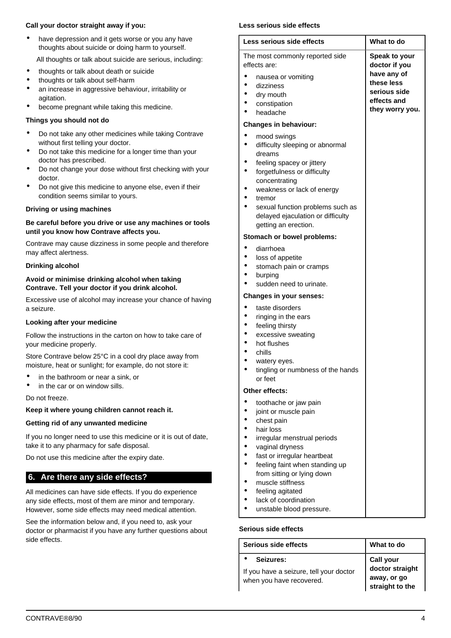## **Call your doctor straight away if you:**

have depression and it gets worse or you any have thoughts about suicide or doing harm to yourself.

All thoughts or talk about suicide are serious, including:

- thoughts or talk about death or suicide
- thoughts or talk about self-harm
- an increase in aggressive behaviour, irritability or agitation.
- become pregnant while taking this medicine.

# **Things you should not do**

- Do not take any other medicines while taking Contrave without first telling your doctor.
- Do not take this medicine for a longer time than your doctor has prescribed.
- Do not change your dose without first checking with your doctor.
- Do not give this medicine to anyone else, even if their condition seems similar to yours.

## **Driving or using machines**

## **Be careful before you drive or use any machines or tools until you know how Contrave affects you.**

Contrave may cause dizziness in some people and therefore may affect alertness.

## **Drinking alcohol**

## **Avoid or minimise drinking alcohol when taking Contrave. Tell your doctor if you drink alcohol.**

Excessive use of alcohol may increase your chance of having a seizure.

# **Looking after your medicine**

Follow the instructions in the carton on how to take care of your medicine properly.

Store Contrave below 25°C in a cool dry place away from moisture, heat or sunlight; for example, do not store it:

- in the bathroom or near a sink, or
- in the car or on window sills.

Do not freeze.

# **Keep it where young children cannot reach it.**

# **Getting rid of any unwanted medicine**

If you no longer need to use this medicine or it is out of date, take it to any pharmacy for safe disposal.

Do not use this medicine after the expiry date.

# <span id="page-3-0"></span>**6. Are there any side effects?**

All medicines can have side effects. If you do experience any side effects, most of them are minor and temporary. However, some side effects may need medical attention.

See the information below and, if you need to, ask your doctor or pharmacist if you have any further questions about side effects.

# **Less serious side effects**

|                        | Less serious side effects                                                                                                                                                                                                                                                                                             | What to do                                                                                                           |
|------------------------|-----------------------------------------------------------------------------------------------------------------------------------------------------------------------------------------------------------------------------------------------------------------------------------------------------------------------|----------------------------------------------------------------------------------------------------------------------|
|                        | The most commonly reported side<br>effects are:<br>nausea or vomiting<br>dizziness<br>dry mouth<br>constipation<br>headache                                                                                                                                                                                           | <b>Speak to your</b><br>doctor if you<br>have any of<br>these less<br>serious side<br>effects and<br>they worry you. |
|                        | <b>Changes in behaviour:</b>                                                                                                                                                                                                                                                                                          |                                                                                                                      |
|                        | mood swings<br>difficulty sleeping or abnormal<br>dreams<br>feeling spacey or jittery<br>forgetfulness or difficulty<br>concentrating<br>weakness or lack of energy<br>tremor<br>sexual function problems such as<br>delayed ejaculation or difficulty<br>getting an erection.                                        |                                                                                                                      |
|                        | Stomach or bowel problems:                                                                                                                                                                                                                                                                                            |                                                                                                                      |
| $\bullet$<br>$\bullet$ | diarrhoea<br>loss of appetite<br>stomach pain or cramps<br>burping<br>sudden need to urinate.                                                                                                                                                                                                                         |                                                                                                                      |
|                        | <b>Changes in your senses:</b>                                                                                                                                                                                                                                                                                        |                                                                                                                      |
| ٠                      | taste disorders<br>ringing in the ears<br>feeling thirsty<br>excessive sweating<br>hot flushes<br>chills<br>watery eyes.<br>tingling or numbness of the hands<br>or feet                                                                                                                                              |                                                                                                                      |
|                        | Other effects:                                                                                                                                                                                                                                                                                                        |                                                                                                                      |
|                        | toothache or jaw pain<br>joint or muscle pain<br>chest pain<br>hair loss<br>irregular menstrual periods<br>vaginal dryness<br>fast or irregular heartbeat<br>feeling faint when standing up<br>from sitting or lying down<br>muscle stiffness<br>feeling agitated<br>lack of coordination<br>unstable blood pressure. |                                                                                                                      |

# **Serious side effects**

| Serious side effects                                                             | What to do                                                     |
|----------------------------------------------------------------------------------|----------------------------------------------------------------|
| Seizures:<br>If you have a seizure, tell your doctor<br>when you have recovered. | Call your<br>doctor straight<br>away, or go<br>straight to the |